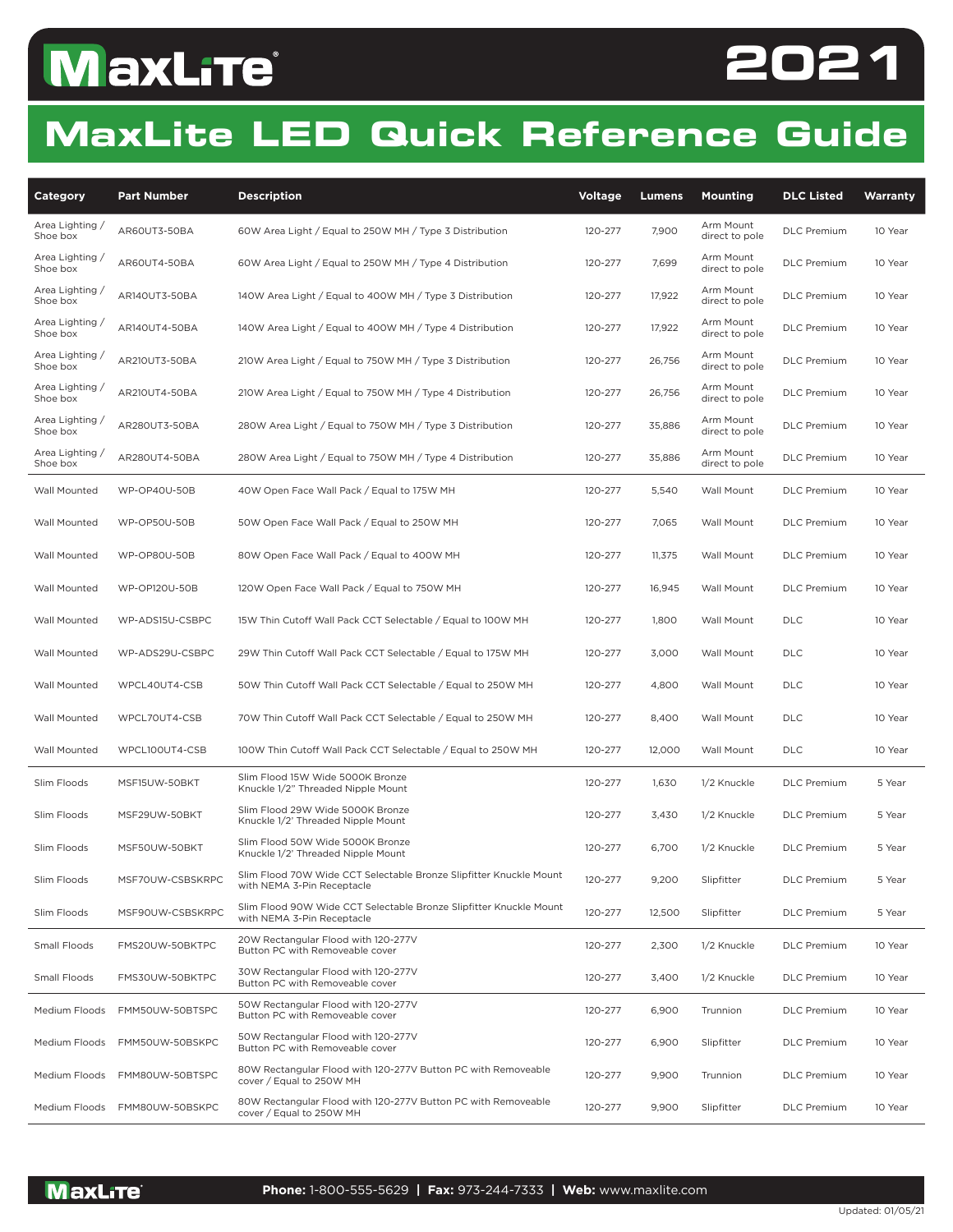# **MaxLite**®



#### **MaxLite LED Quick Reference Guide**

| Category                    | <b>Part Number</b>  | <b>Description</b>                                                                               | <b>Voltage</b> | Lumens | <b>Mounting</b>             | <b>DLC Listed</b>  | Warranty |
|-----------------------------|---------------------|--------------------------------------------------------------------------------------------------|----------------|--------|-----------------------------|--------------------|----------|
| Area Lighting /<br>Shoe box | AR60UT3-50BA        | 60W Area Light / Equal to 250W MH / Type 3 Distribution                                          | 120-277        | 7,900  | Arm Mount<br>direct to pole | <b>DLC</b> Premium | 10 Year  |
| Area Lighting /<br>Shoe box | AR60UT4-50BA        | 60W Area Light / Equal to 250W MH / Type 4 Distribution                                          | 120-277        | 7,699  | Arm Mount<br>direct to pole | <b>DLC</b> Premium | 10 Year  |
| Area Lighting /<br>Shoe box | AR140UT3-50BA       | 140W Area Light / Equal to 400W MH / Type 3 Distribution                                         | 120-277        | 17,922 | Arm Mount<br>direct to pole | <b>DLC</b> Premium | 10 Year  |
| Area Lighting /<br>Shoe box | AR140UT4-50BA       | 140W Area Light / Equal to 400W MH / Type 4 Distribution                                         | 120-277        | 17,922 | Arm Mount<br>direct to pole | <b>DLC</b> Premium | 10 Year  |
| Area Lighting /<br>Shoe box | AR210UT3-50BA       | 210W Area Light / Equal to 750W MH / Type 3 Distribution                                         | 120-277        | 26,756 | Arm Mount<br>direct to pole | <b>DLC</b> Premium | 10 Year  |
| Area Lighting /<br>Shoe box | AR210UT4-50BA       | 210W Area Light / Equal to 750W MH / Type 4 Distribution                                         | 120-277        | 26,756 | Arm Mount<br>direct to pole | <b>DLC</b> Premium | 10 Year  |
| Area Lighting /<br>Shoe box | AR280UT3-50BA       | 280W Area Light / Equal to 750W MH / Type 3 Distribution                                         | 120-277        | 35,886 | Arm Mount<br>direct to pole | <b>DLC</b> Premium | 10 Year  |
| Area Lighting /<br>Shoe box | AR280UT4-50BA       | 280W Area Light / Equal to 750W MH / Type 4 Distribution                                         | 120-277        | 35,886 | Arm Mount<br>direct to pole | <b>DLC</b> Premium | 10 Year  |
| Wall Mounted                | <b>WP-OP40U-50B</b> | 40W Open Face Wall Pack / Equal to 175W MH                                                       | 120-277        | 5,540  | Wall Mount                  | <b>DLC</b> Premium | 10 Year  |
| Wall Mounted                | WP-OP50U-50B        | 50W Open Face Wall Pack / Equal to 250W MH                                                       | 120-277        | 7,065  | Wall Mount                  | <b>DLC</b> Premium | 10 Year  |
| Wall Mounted                | <b>WP-OP80U-50B</b> | 80W Open Face Wall Pack / Equal to 400W MH                                                       | 120-277        | 11,375 | Wall Mount                  | <b>DLC</b> Premium | 10 Year  |
| Wall Mounted                | WP-OP120U-50B       | 120W Open Face Wall Pack / Equal to 750W MH                                                      | 120-277        | 16,945 | Wall Mount                  | <b>DLC</b> Premium | 10 Year  |
| Wall Mounted                | WP-ADS15U-CSBPC     | 15W Thin Cutoff Wall Pack CCT Selectable / Equal to 100W MH                                      | 120-277        | 1,800  | Wall Mount                  | <b>DLC</b>         | 10 Year  |
| Wall Mounted                | WP-ADS29U-CSBPC     | 29W Thin Cutoff Wall Pack CCT Selectable / Equal to 175W MH                                      | 120-277        | 3,000  | Wall Mount                  | <b>DLC</b>         | 10 Year  |
| Wall Mounted                | WPCL40UT4-CSB       | 50W Thin Cutoff Wall Pack CCT Selectable / Equal to 250W MH                                      | 120-277        | 4,800  | Wall Mount                  | <b>DLC</b>         | 10 Year  |
| Wall Mounted                | WPCL70UT4-CSB       | 70W Thin Cutoff Wall Pack CCT Selectable / Equal to 250W MH                                      | 120-277        | 8,400  | Wall Mount                  | DLC                | 10 Year  |
| Wall Mounted                | WPCL100UT4-CSB      | 100W Thin Cutoff Wall Pack CCT Selectable / Equal to 250W MH                                     | 120-277        | 12,000 | Wall Mount                  | <b>DLC</b>         | 10 Year  |
| Slim Floods                 | MSF15UW-50BKT       | Slim Flood 15W Wide 5000K Bronze<br>Knuckle 1/2" Threaded Nipple Mount                           | 120-277        | 1,630  | 1/2 Knuckle                 | <b>DLC</b> Premium | 5 Year   |
| Slim Floods                 | MSF29UW-50BKT       | Slim Flood 29W Wide 5000K Bronze<br>Knuckle 1/2' Threaded Nipple Mount                           | 120-277        | 3,430  | 1/2 Knuckle                 | <b>DLC</b> Premium | 5 Year   |
| Slim Floods                 | MSF50UW-50BKT       | Slim Flood 50W Wide 5000K Bronze<br>Knuckle 1/2' Threaded Nipple Mount                           | 120-277        | 6,700  | 1/2 Knuckle                 | <b>DLC</b> Premium | 5 Year   |
| Slim Floods                 | MSF70UW-CSBSKRPC    | Slim Flood 70W Wide CCT Selectable Bronze Slipfitter Knuckle Mount<br>with NEMA 3-Pin Receptacle | 120-277        | 9,200  | Slipfitter                  | <b>DLC</b> Premium | 5 Year   |
| Slim Floods                 | MSF90UW-CSBSKRPC    | Slim Flood 90W Wide CCT Selectable Bronze Slipfitter Knuckle Mount<br>with NEMA 3-Pin Receptacle | 120-277        | 12,500 | Slipfitter                  | <b>DLC</b> Premium | 5 Year   |
| Small Floods                | FMS20UW-50BKTPC     | 20W Rectangular Flood with 120-277V<br>Button PC with Removeable cover                           | 120-277        | 2,300  | 1/2 Knuckle                 | <b>DLC</b> Premium | 10 Year  |
| Small Floods                | FMS30UW-50BKTPC     | 30W Rectangular Flood with 120-277V<br>Button PC with Removeable cover                           | 120-277        | 3,400  | 1/2 Knuckle                 | <b>DLC</b> Premium | 10 Year  |
| Medium Floods               | FMM50UW-50BTSPC     | 50W Rectangular Flood with 120-277V<br>Button PC with Removeable cover                           | 120-277        | 6,900  | Trunnion                    | <b>DLC</b> Premium | 10 Year  |
| Medium Floods               | FMM50UW-50BSKPC     | 50W Rectangular Flood with 120-277V<br>Button PC with Removeable cover                           | 120-277        | 6,900  | Slipfitter                  | <b>DLC</b> Premium | 10 Year  |
| Medium Floods               | FMM80UW-50BTSPC     | 80W Rectangular Flood with 120-277V Button PC with Removeable<br>cover / Equal to 250W MH        | 120-277        | 9,900  | Trunnion                    | <b>DLC</b> Premium | 10 Year  |
| Medium Floods               | FMM80UW-50BSKPC     | 80W Rectangular Flood with 120-277V Button PC with Removeable<br>cover / Equal to 250W MH        | 120-277        | 9,900  | Slipfitter                  | <b>DLC</b> Premium | 10 Year  |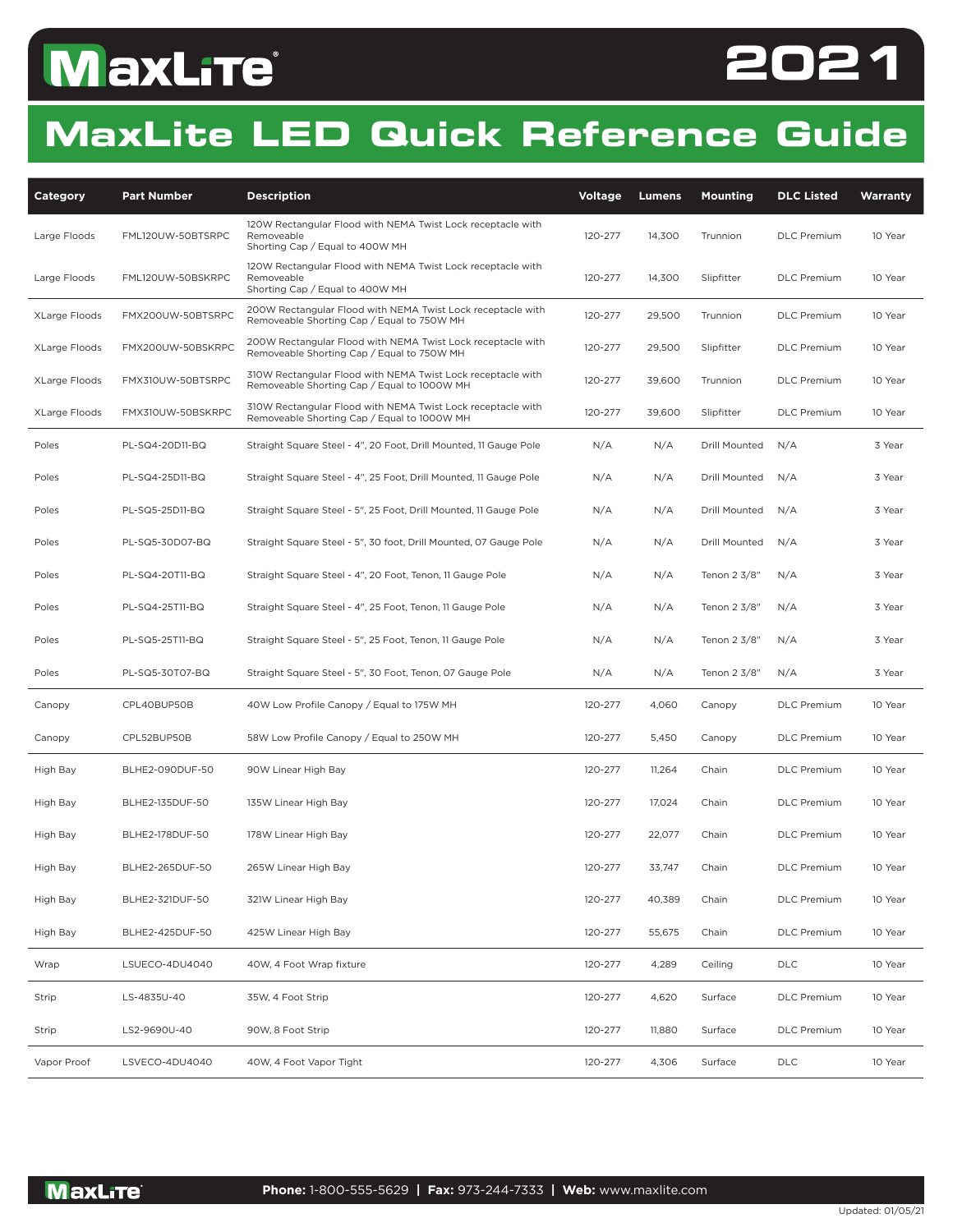## **MaxLite**®



#### **MaxLite LED Quick Reference Guide**

| Category             | <b>Part Number</b> | <b>Description</b>                                                                                           | <b>Voltage</b> | <b>Lumens</b> | Mounting      | <b>DLC Listed</b>  | Warranty |
|----------------------|--------------------|--------------------------------------------------------------------------------------------------------------|----------------|---------------|---------------|--------------------|----------|
| Large Floods         | FML120UW-50BTSRPC  | 120W Rectangular Flood with NEMA Twist Lock receptacle with<br>Removeable<br>Shorting Cap / Equal to 400W MH | 120-277        | 14,300        | Trunnion      | <b>DLC</b> Premium | 10 Year  |
| Large Floods         | FML120UW-50BSKRPC  | 120W Rectangular Flood with NEMA Twist Lock receptacle with<br>Removeable<br>Shorting Cap / Equal to 400W MH | 120-277        | 14,300        | Slipfitter    | <b>DLC</b> Premium | 10 Year  |
| <b>XLarge Floods</b> | FMX200UW-50BTSRPC  | 200W Rectangular Flood with NEMA Twist Lock receptacle with<br>Removeable Shorting Cap / Equal to 750W MH    | 120-277        | 29,500        | Trunnion      | <b>DLC</b> Premium | 10 Year  |
| <b>XLarge Floods</b> | FMX200UW-50BSKRPC  | 200W Rectangular Flood with NEMA Twist Lock receptacle with<br>Removeable Shorting Cap / Equal to 750W MH    | 120-277        | 29,500        | Slipfitter    | <b>DLC</b> Premium | 10 Year  |
| XLarge Floods        | FMX310UW-50BTSRPC  | 310W Rectangular Flood with NEMA Twist Lock receptacle with<br>Removeable Shorting Cap / Equal to 1000W MH   | 120-277        | 39,600        | Trunnion      | <b>DLC</b> Premium | 10 Year  |
| XLarge Floods        | FMX310UW-50BSKRPC  | 310W Rectangular Flood with NEMA Twist Lock receptacle with<br>Removeable Shorting Cap / Equal to 1000W MH   | 120-277        | 39,600        | Slipfitter    | <b>DLC</b> Premium | 10 Year  |
| Poles                | PL-SQ4-20D11-BQ    | Straight Square Steel - 4", 20 Foot, Drill Mounted, 11 Gauge Pole                                            | N/A            | N/A           | Drill Mounted | N/A                | 3 Year   |
| Poles                | PL-SQ4-25D11-BQ    | Straight Square Steel - 4", 25 Foot, Drill Mounted, 11 Gauge Pole                                            | N/A            | N/A           | Drill Mounted | N/A                | 3 Year   |
| Poles                | PL-SQ5-25D11-BQ    | Straight Square Steel - 5", 25 Foot, Drill Mounted, 11 Gauge Pole                                            | N/A            | N/A           | Drill Mounted | N/A                | 3 Year   |
| Poles                | PL-SQ5-30D07-BQ    | Straight Square Steel - 5", 30 foot, Drill Mounted, 07 Gauge Pole                                            | N/A            | N/A           | Drill Mounted | N/A                | 3 Year   |
| Poles                | PL-SQ4-20T11-BQ    | Straight Square Steel - 4", 20 Foot, Tenon, 11 Gauge Pole                                                    | N/A            | N/A           | Tenon 2 3/8"  | N/A                | 3 Year   |
| Poles                | PL-SQ4-25T11-BQ    | Straight Square Steel - 4", 25 Foot, Tenon, 11 Gauge Pole                                                    | N/A            | N/A           | Tenon 2 3/8"  | N/A                | 3 Year   |
| Poles                | PL-SQ5-25T11-BQ    | Straight Square Steel - 5", 25 Foot, Tenon, 11 Gauge Pole                                                    | N/A            | N/A           | Tenon 2 3/8"  | N/A                | 3 Year   |
| Poles                | PL-SQ5-30T07-BQ    | Straight Square Steel - 5", 30 Foot, Tenon, 07 Gauge Pole                                                    | N/A            | N/A           | Tenon 2 3/8"  | N/A                | 3 Year   |
| Canopy               | CPL40BUP50B        | 40W Low Profile Canopy / Equal to 175W MH                                                                    | 120-277        | 4,060         | Canopy        | <b>DLC</b> Premium | 10 Year  |
| Canopy               | CPL52BUP50B        | 58W Low Profile Canopy / Equal to 250W MH                                                                    | 120-277        | 5,450         | Canopy        | <b>DLC</b> Premium | 10 Year  |
| High Bay             | BLHE2-090DUF-50    | 90W Linear High Bay                                                                                          | 120-277        | 11,264        | Chain         | <b>DLC</b> Premium | 10 Year  |
| High Bay             | BLHE2-135DUF-50    | 135W Linear High Bay                                                                                         | 120-277        | 17,024        | Chain         | <b>DLC</b> Premium | 10 Year  |
| High Bay             | BLHE2-178DUF-50    | 178W Linear High Bay                                                                                         | 120-277        | 22,077        | Chain         | <b>DLC</b> Premium | 10 Year  |
| High Bay             | BLHE2-265DUF-50    | 265W Linear High Bay                                                                                         | 120-277        | 33,747        | Chain         | <b>DLC</b> Premium | 10 Year  |
| High Bay             | BLHE2-321DUF-50    | 321W Linear High Bay                                                                                         | 120-277        | 40,389        | Chain         | <b>DLC</b> Premium | 10 Year  |
| High Bay             | BLHE2-425DUF-50    | 425W Linear High Bay                                                                                         | 120-277        | 55,675        | Chain         | <b>DLC</b> Premium | 10 Year  |
| Wrap                 | LSUECO-4DU4040     | 40W, 4 Foot Wrap fixture                                                                                     | 120-277        | 4,289         | Ceiling       | <b>DLC</b>         | 10 Year  |
| Strip                | LS-4835U-40        | 35W, 4 Foot Strip                                                                                            | 120-277        | 4,620         | Surface       | <b>DLC</b> Premium | 10 Year  |
| Strip                | LS2-9690U-40       | 90W, 8 Foot Strip                                                                                            | 120-277        | 11,880        | Surface       | <b>DLC</b> Premium | 10 Year  |
| Vapor Proof          | LSVECO-4DU4040     | 40W, 4 Foot Vapor Tight                                                                                      | 120-277        | 4,306         | Surface       | <b>DLC</b>         | 10 Year  |